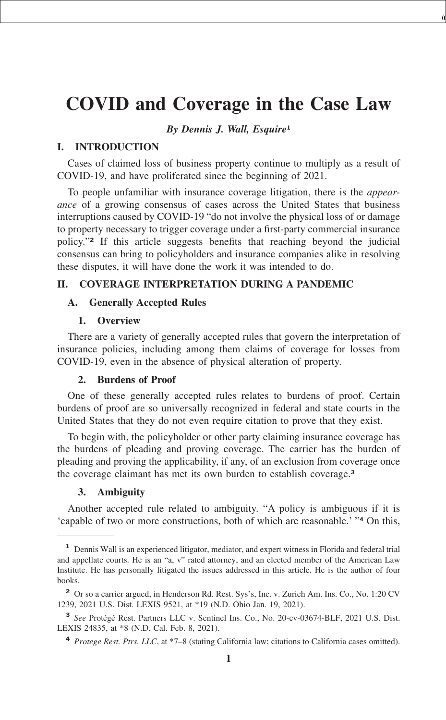# **[COVID and Coverage in the Case Law](xpath-> core:title,  tr:ch/core:title,  desig_title,  style_01)**

**0**

*[By Dennis J. Wall, Esquire](xpath-> core:byline,  core:byline,  byline,  style_01)***<sup>1</sup>**

# **[I.](xpath-> core:desig,  184,  ,  ) [INTRODUCTION](xpath-> core:title,  tr:secmain/core:title,  desig_title,  style_01)**

[Cases of claimed loss of business property continue to multiply as a result of](xpath-> core:para,  Default,  para-list,  style_01) [COVID-19, and have proliferated since the beginning of 2021.](xpath-> core:para,  Default,  para-list,  style_01)

[To people unfamiliar with insurance coverage litigation, there is the](xpath-> core:para,  Default,  para-list,  style_01) *appearance* [of a growing consensus of cases across the United States that business](xpath-> core:para,  Default,  para-list,  style_01) [interruptions caused by COVID-19 "do not involve the physical loss of or damage](xpath-> core:para,  Default,  para-list,  style_01) [to property necessary to trigger coverage under a first-party commercial insurance](xpath-> core:para,  Default,  para-list,  style_01) policy."**<sup>2</sup>** [If this article suggests benefits that reaching beyond the judicial](xpath-> core:para,  Default,  para-list,  style_01) [consensus can bring to policyholders and insurance companies alike in resolving](xpath-> core:para,  Default,  para-list,  style_01) [these disputes, it will have done the work it was intended to do.](xpath-> core:para,  Default,  para-list,  style_01)

# **[II.](xpath-> core:desig,  184,  ,  ) [COVERAGE INTERPRETATION DURING A PANDEMIC](xpath-> core:title,  tr:secmain/core:title,  desig_title,  style_01)**

#### **A. [Generally Accepted Rules](xpath-> core:title,  tr:secsub1/core:title,  desig_title,  style_01)**

## **[1.](xpath-> core:desig,  tr:secsub2/core:desig,  desig_title,  style_01) [Overview](xpath-> core:title,  tr:secsub2/core:title,  desig_title,  style_01)**

[There are a variety of generally accepted rules that govern the interpretation of](xpath-> core:para,  Default,  para-list,  style_01) [insurance policies, including among them claims of coverage for losses from](xpath-> core:para,  Default,  para-list,  style_01) [COVID-19, even in the absence of physical alteration of property.](xpath-> core:para,  Default,  para-list,  style_01)

## **[2.](xpath-> core:desig,  tr:secsub2/core:desig,  desig_title,  style_01) [Burdens of Proof](xpath-> core:title,  tr:secsub2/core:title,  desig_title,  style_01)**

[One of these generally accepted rules relates to burdens of proof. Certain](xpath-> core:para,  Default,  para-list,  style_01) [burdens of proof are so universally recognized in federal and state courts in the](xpath-> core:para,  Default,  para-list,  style_01) [United States that they do not even require citation to prove that they exist.](xpath-> core:para,  Default,  para-list,  style_01)

[To begin with, the policyholder or other party claiming insurance coverage has](xpath-> core:para,  Default,  para-list,  style_01) [the burdens of pleading and proving coverage. The carrier has the burden of](xpath-> core:para,  Default,  para-list,  style_01) [pleading and proving the applicability, if any, of an exclusion from coverage once](xpath-> core:para,  Default,  para-list,  style_01) [the coverage claimant has met its own burden to establish coverage.](xpath-> core:para,  Default,  para-list,  style_01)**<sup>3</sup>**

# **[3.](xpath-> core:desig,  tr:secsub2/core:desig,  desig_title,  style_01) [Ambiguity](xpath-> core:title,  tr:secsub2/core:title,  desig_title,  style_01)**

[Another accepted rule related to ambiguity. "A policy is ambiguous if it is](xpath-> core:para,  Default,  para-list,  style_01) ['capable of two or more constructions, both of which are reasonable.' "](xpath-> core:para,  Default,  para-list,  style_01)**<sup>4</sup>** On this,

**<sup>1</sup>** [Dennis Wall is an experienced litigator, mediator, and expert witness in Florida and federal trial](xpath-> fn:para,  fn:footnote/fn:para,  footnote,  style_01) [and appellate courts. He is an "a, v" rated attorney, and an elected member of the American Law](xpath-> fn:para,  fn:footnote/fn:para,  footnote,  style_01) [Institute. He has personally litigated the issues addressed in this article. He is the author of four](xpath-> fn:para,  fn:footnote/fn:para,  footnote,  style_01) [books.](xpath-> fn:para,  fn:footnote/fn:para,  footnote,  style_01)

**<sup>2</sup>** [Or so a carrier argued, in Henderson Rd. Rest. Sys's, Inc. v. Zurich Am. Ins. Co., No. 1:20 CV](xpath-> fn:para,  fn:footnote/fn:para,  footnote,  style_01) [1239, 2021 U.S. Dist. LEXIS 9521, at \\*19 \(N.D. Ohio Jan. 19, 2021\).](xpath-> fn:para,  fn:footnote/fn:para,  footnote,  style_01)

**<sup>3</sup>** *See* [Protégé Rest. Partners LLC v. Sentinel Ins. Co., No. 20-cv-03674-BLF, 2021 U.S. Dist.](xpath-> fn:para,  fn:footnote/fn:para,  footnote,  style_01) [LEXIS 24835, at \\*8 \(N.D. Cal. Feb. 8, 2021\).](xpath-> fn:para,  fn:footnote/fn:para,  footnote,  style_01)

**<sup>4</sup>** *Protege Rest. Ptrs. LLC*[, at \\*7–8 \(stating California law; citations to California cases omitted\).](xpath-> fn:para,  fn:footnote/fn:para,  footnote,  style_01)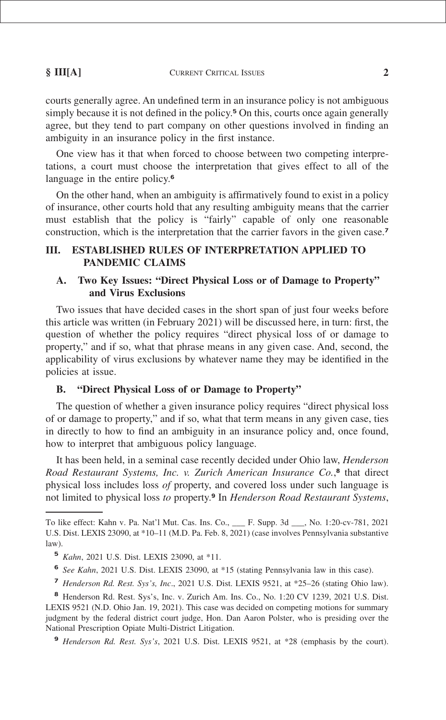**§ III[A]** CURRENT CRITICAL ISSUES **2**

courts generally agree. An undefined term in an insurance policy is not ambiguous simply because it is not defined in the policy.**<sup>5</sup>** On this, courts once again generally agree, but they tend to part company on other questions involved in finding an [ambiguity in an insurance policy in the first instance.](xpath-> core:para,  Default,  para-list,  style_01)

[One view has it that when forced to choose between two competing interpre](xpath-> core:para,  Default,  para-list,  style_01)[tations, a court must choose the interpretation that gives effect to all of the](xpath-> core:para,  Default,  para-list,  style_01) [language in the entire policy.](xpath-> core:para,  Default,  para-list,  style_01)**<sup>6</sup>**

[On the other hand, when an ambiguity is affirmatively found to exist in a policy](xpath-> core:para,  Default,  para-list,  style_01) [of insurance, other courts hold that any resulting ambiguity means that the carrier](xpath-> core:para,  Default,  para-list,  style_01) [must establish that the policy is "fairly" capable of only one reasonable](xpath-> core:para,  Default,  para-list,  style_01) [construction, which is the interpretation that the carrier favors in the given case.](xpath-> core:para,  Default,  para-list,  style_01)**<sup>7</sup>**

# **[III.](xpath-> core:desig,  184,  ,  ) [ESTABLISHED RULES OF INTERPRETATION APPLIED TO](xpath-> core:title,  tr:secmain/core:title,  desig_title,  style_01) [PANDEMIC CLAIMS](xpath-> core:title,  tr:secmain/core:title,  desig_title,  style_01)**

# **A. [Two Key Issues: "Direct Physical Loss or of Damage to Property"](xpath-> core:title,  tr:secsub1/core:title,  desig_title,  style_01) [and Virus Exclusions](xpath-> core:title,  tr:secsub1/core:title,  desig_title,  style_01)**

[Two issues that have decided cases in the short span of just four weeks before](xpath-> core:para,  Default,  para-list,  style_01) [this article was written \(in February 2021\) will be discussed here, in turn: first, the](xpath-> core:para,  Default,  para-list,  style_01) [question of whether the policy requires "direct physical loss of or damage to](xpath-> core:para,  Default,  para-list,  style_01) [property," and if so, what that phrase means in any given case. And, second, the](xpath-> core:para,  Default,  para-list,  style_01) [applicability of virus exclusions by whatever name they may be identified in the](xpath-> core:para,  Default,  para-list,  style_01) [policies at issue.](xpath-> core:para,  Default,  para-list,  style_01)

# **B. ["Direct Physical Loss of or Damage to Property"](xpath-> core:title,  tr:secsub1/core:title,  desig_title,  style_01)**

[The question of whether a given insurance policy requires "direct physical loss](xpath-> core:para,  Default,  para-list,  style_01) [of or damage to property," and if so, what that term means in any given case, ties](xpath-> core:para,  Default,  para-list,  style_01) [in directly to how to find an ambiguity in an insurance policy and, once found,](xpath-> core:para,  Default,  para-list,  style_01) [how to interpret that ambiguous policy language.](xpath-> core:para,  Default,  para-list,  style_01)

[It has been held, in a seminal case recently decided under Ohio law,](xpath-> core:para,  Default,  para-list,  style_01) *Henderson [Road Restaurant Systems, Inc. v. Zurich American Insurance Co.](xpath-> core:para,  Default,  para-list,  style_01)*, **8** that direct physical loss includes loss *of* [property, and covered loss under such language is](xpath-> core:para,  Default,  para-list,  style_01) not limited to physical loss *to* property.**<sup>9</sup>** In *[Henderson Road Restaurant Systems](xpath-> core:para,  Default,  para-list,  style_01)*,

[To like effect: Kahn v. Pa. Nat'l Mut. Cas. Ins. Co., \\_\\_\\_ F. Supp. 3d \\_\\_\\_, No. 1:20-cv-781, 2021](xpath-> foots,  Default,  footnote,  style_01) [U.S. Dist. LEXIS 23090, at \\*10–11 \(M.D. Pa. Feb. 8, 2021\) \(case involves Pennsylvania substantive](xpath-> foots,  Default,  footnote,  style_01) [law\).](xpath-> foots,  Default,  footnote,  style_01)

**<sup>5</sup>** *Kahn*[, 2021 U.S. Dist. LEXIS 23090, at \\*11.](xpath-> fn:para,  fn:footnote/fn:para,  footnote,  style_01)

**<sup>6</sup>** *See Kahn*[, 2021 U.S. Dist. LEXIS 23090, at \\*15 \(stating Pennsylvania law in this case\).](xpath-> fn:para,  fn:footnote/fn:para,  footnote,  style_01)

**<sup>7</sup>** *Henderson Rd. Rest. Sys's, Inc*[., 2021 U.S. Dist. LEXIS 9521, at \\*25–26 \(stating Ohio law\).](xpath-> fn:para,  fn:footnote/fn:para,  footnote,  style_01)

**<sup>8</sup>** [Henderson Rd. Rest. Sys's, Inc. v. Zurich Am. Ins. Co., No. 1:20 CV 1239, 2021 U.S. Dist.](xpath-> fn:para,  fn:footnote/fn:para,  footnote,  style_01) [LEXIS 9521 \(N.D. Ohio Jan. 19, 2021\). This case was decided on competing motions for summary](xpath-> fn:para,  fn:footnote/fn:para,  footnote,  style_01) [judgment by the federal district court judge, Hon. Dan Aaron Polster, who is presiding over the](xpath-> fn:para,  fn:footnote/fn:para,  footnote,  style_01) [National Prescription Opiate Multi-District Litigation.](xpath-> fn:para,  fn:footnote/fn:para,  footnote,  style_01)

**<sup>9</sup>** *Henderson Rd. Rest. Sys's*[, 2021 U.S. Dist. LEXIS 9521, at \\*28 \(emphasis by the court\).](xpath-> fn:para,  fn:footnote/fn:para,  footnote,  style_01)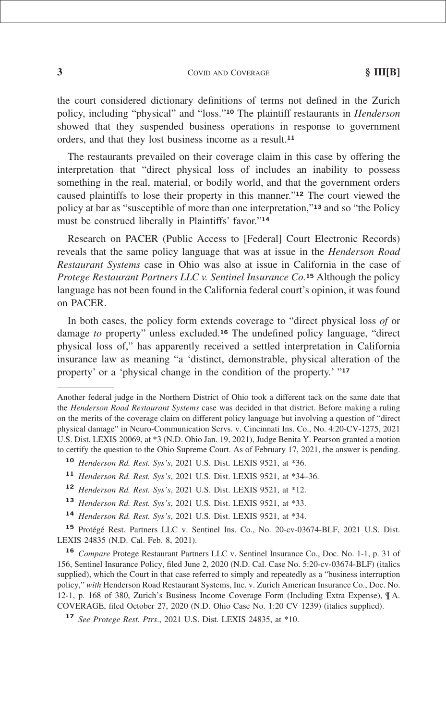**3** COVID AND COVERAGE **§ III[B]**

the court considered dictionary definitions of terms not defined in the Zurich policy, including "physical" and "loss."**<sup>10</sup>** The plaintiff restaurants in *Henderson* showed that they suspended business operations in response to government [orders, and that they lost business income as a result.](xpath-> core:para,  Default,  para-list,  style_01)**<sup>11</sup>**

[The restaurants prevailed on their coverage claim in this case by offering the](xpath-> core:para,  Default,  para-list,  style_01) [interpretation that "direct physical loss of includes an inability to possess](xpath-> core:para,  Default,  para-list,  style_01) [something in the real, material, or bodily world, and that the government orders](xpath-> core:para,  Default,  para-list,  style_01) [caused plaintiffs to lose their property in this manner."](xpath-> core:para,  Default,  para-list,  style_01)**<sup>12</sup>** The court viewed the [policy at bar as "susceptible of more than one interpretation,"](xpath-> core:para,  Default,  para-list,  style_01)**<sup>13</sup>** and so "the Policy [must be construed liberally in Plaintiffs' favor."](xpath-> core:para,  Default,  para-list,  style_01)**<sup>14</sup>**

[Research on PACER \(Public Access to \[Federal\] Court Electronic Records\)](xpath-> core:para,  Default,  para-list,  style_01) [reveals that the same policy language that was at issue in the](xpath-> core:para,  Default,  para-list,  style_01) *Henderson Road Restaurant Systems* [case in Ohio was also at issue in California in the case of](xpath-> core:para,  Default,  para-list,  style_01) *[Protege Restaurant Partners LLC v. Sentinel Insurance Co.](xpath-> core:para,  Default,  para-list,  style_01)***<sup>15</sup>** Although the policy [language has not been found in the California federal court's opinion, it was found](xpath-> core:para,  Default,  para-list,  style_01) [on PACER.](xpath-> core:para,  Default,  para-list,  style_01)

[In both cases, the policy form extends coverage to "direct physical loss](xpath-> core:para,  Default,  para-list,  style_01) *of* or damage *to* property" unless excluded.**<sup>16</sup>** [The undefined policy language, "direct](xpath-> core:para,  Default,  para-list,  style_01) [physical loss of," has apparently received a settled interpretation in California](xpath-> core:para,  Default,  para-list,  style_01) [insurance law as meaning "a 'distinct, demonstrable, physical alteration of the](xpath-> core:para,  Default,  para-list,  style_01) [property' or a 'physical change in the condition of the property.' "](xpath-> core:para,  Default,  para-list,  style_01)**<sup>17</sup>**

[Another federal judge in the Northern District of Ohio took a different tack on the same date that](xpath-> foots,  Default,  footnote,  style_01) the *Henderson Road Restaurant Systems* [case was decided in that district. Before making a ruling](xpath-> foots,  Default,  footnote,  style_01) [on the merits of the coverage claim on different policy language but involving a question of "direct](xpath-> foots,  Default,  footnote,  style_01) [physical damage" in Neuro-Communication Servs. v. Cincinnati Ins. Co., No. 4:20-CV-1275, 2021](xpath-> foots,  Default,  footnote,  style_01) [U.S. Dist. LEXIS 20069, at \\*3 \(N.D. Ohio Jan. 19, 2021\), Judge Benita Y. Pearson granted a motion](xpath-> foots,  Default,  footnote,  style_01) [to certify the question to the Ohio Supreme Court. As of February 17, 2021, the answer is pending.](xpath-> foots,  Default,  footnote,  style_01)

**<sup>10</sup>** *Henderson Rd. Rest. Sys's*[, 2021 U.S. Dist. LEXIS 9521, at \\*36.](xpath-> fn:para,  fn:footnote/fn:para,  footnote,  style_01)

**<sup>11</sup>** *Henderson Rd. Rest. Sys's*[, 2021 U.S. Dist. LEXIS 9521, at \\*34–36.](xpath-> fn:para,  fn:footnote/fn:para,  footnote,  style_01)

**<sup>12</sup>** *Henderson Rd. Rest. Sys's*[, 2021 U.S. Dist. LEXIS 9521, at \\*12.](xpath-> fn:para,  fn:footnote/fn:para,  footnote,  style_01)

**<sup>13</sup>** *Henderson Rd. Rest. Sys's*[, 2021 U.S. Dist. LEXIS 9521, at \\*33.](xpath-> fn:para,  fn:footnote/fn:para,  footnote,  style_01)

**<sup>14</sup>** *Henderson Rd. Rest. Sys's*[, 2021 U.S. Dist. LEXIS 9521, at \\*34.](xpath-> fn:para,  fn:footnote/fn:para,  footnote,  style_01)

**<sup>15</sup>** [Protégé Rest. Partners LLC v. Sentinel Ins. Co., No. 20-cv-03674-BLF, 2021 U.S. Dist.](xpath-> fn:para,  fn:footnote/fn:para,  footnote,  style_01) [LEXIS 24835 \(N.D. Cal. Feb. 8, 2021\).](xpath-> fn:para,  fn:footnote/fn:para,  footnote,  style_01)

**<sup>16</sup>** *Compare* [Protege Restaurant Partners LLC v. Sentinel Insurance Co., Doc. No. 1-1, p. 31 of](xpath-> fn:para,  fn:footnote/fn:para,  footnote,  style_01) [156, Sentinel Insurance Policy, filed June 2, 2020 \(N.D. Cal. Case No. 5:20-cv-03674-BLF\) \(italics](xpath-> fn:para,  fn:footnote/fn:para,  footnote,  style_01) [supplied\), which the Court in that case referred to simply and repeatedly as a "business interruption](xpath-> fn:para,  fn:footnote/fn:para,  footnote,  style_01) policy," *with* [Henderson Road Restaurant Systems, Inc. v. Zurich American Insurance Co., Doc. No.](xpath-> fn:para,  fn:footnote/fn:para,  footnote,  style_01) [12-1, p. 168 of 380, Zurich's Business Income Coverage Form \(Including Extra Expense\), ¶ A.](xpath-> fn:para,  fn:footnote/fn:para,  footnote,  style_01) [COVERAGE, filed October 27, 2020 \(N.D. Ohio Case No. 1:20 CV 1239\) \(italics supplied\).](xpath-> fn:para,  fn:footnote/fn:para,  footnote,  style_01)

**<sup>17</sup>** *See Protege Rest. Ptrs*[., 2021 U.S. Dist. LEXIS 24835, at \\*10.](xpath-> fn:para,  fn:footnote/fn:para,  footnote,  style_01)